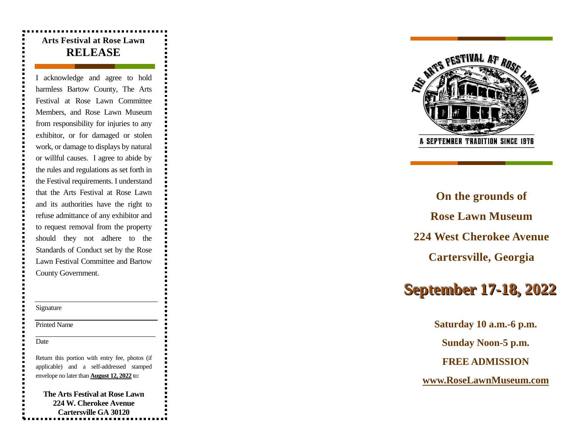## **Arts Festival at Rose Lawn RELEASE**

I acknowledge and agree to hold harmless Bartow County, The Arts Festival at Rose Lawn Committee Members, and Rose Lawn Museum from responsibility for injuries to any exhibitor, or for damaged or stolen work, or damage to displays by natural or willful causes. I agree to abide by the rules and regulations as set forth in the Festival requirements. I understand that the Arts Festival at Rose Lawn and its authorities have the right to refuse admittance of any exhibitor and to request removal from the property should they not adhere to the Standards of Conduct set by the Rose Lawn Festival Committee and Bartow County Government.

#### Signature

Printed Name

Date

Return this portion with entry fee, photos (if applicable) and a self-addressed stamped envelope no later than **August 12, 202 2** to:

**The Arts Festival at Rose Lawn 224 W. Cherokee Avenue Cartersville GA 30120**



**On the grounds of Rose Lawn Museum 224 West Cherokee Avenue Cartersville, Georgia**

# **S e p t e m b e r 1 7 - 1 8 , 2 0 2 2**

**Saturday 10 a.m. -6 p.m. Sunday Noon -5 p.m. FREE ADMISSION www.RoseLawnMuseum.com**